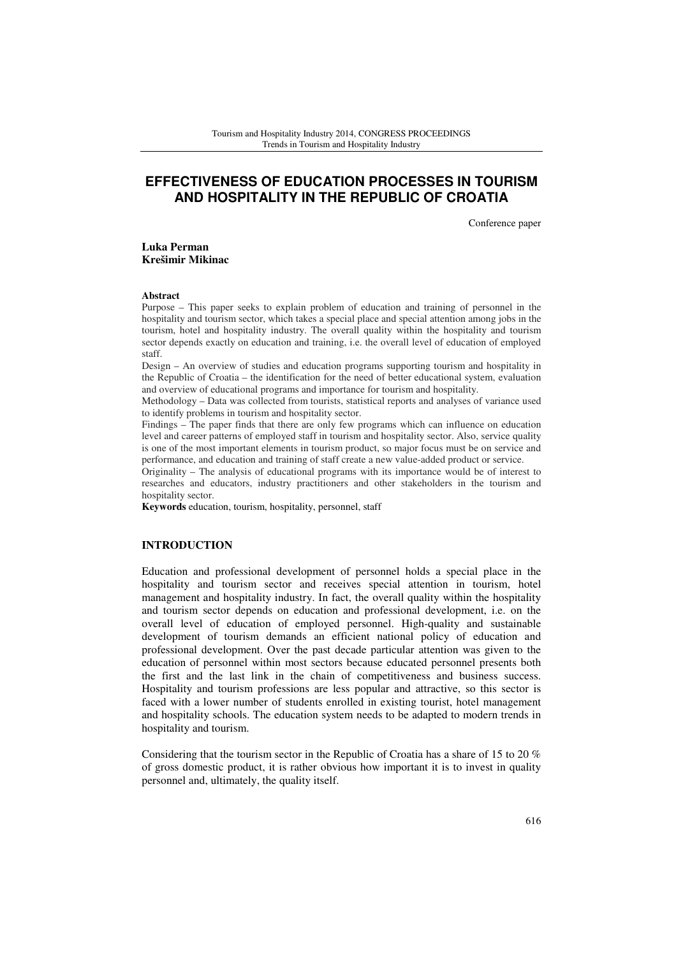# **EFFECTIVENESS OF EDUCATION PROCESSES IN TOURISM AND HOSPITALITY IN THE REPUBLIC OF CROATIA**

Conference paper

**Luka Perman Krešimir Mikinac** 

#### **Abstract**

Purpose – This paper seeks to explain problem of education and training of personnel in the hospitality and tourism sector, which takes a special place and special attention among jobs in the tourism, hotel and hospitality industry. The overall quality within the hospitality and tourism sector depends exactly on education and training, i.e. the overall level of education of employed staff.

Design – An overview of studies and education programs supporting tourism and hospitality in the Republic of Croatia – the identification for the need of better educational system, evaluation and overview of educational programs and importance for tourism and hospitality.

Methodology – Data was collected from tourists, statistical reports and analyses of variance used to identify problems in tourism and hospitality sector.

Findings – The paper finds that there are only few programs which can influence on education level and career patterns of employed staff in tourism and hospitality sector. Also, service quality is one of the most important elements in tourism product, so major focus must be on service and performance, and education and training of staff create a new value-added product or service.

Originality – The analysis of educational programs with its importance would be of interest to researches and educators, industry practitioners and other stakeholders in the tourism and hospitality sector.

**Keywords** education, tourism, hospitality, personnel, staff

### **INTRODUCTION**

Education and professional development of personnel holds a special place in the hospitality and tourism sector and receives special attention in tourism, hotel management and hospitality industry. In fact, the overall quality within the hospitality and tourism sector depends on education and professional development, i.e. on the overall level of education of employed personnel. High-quality and sustainable development of tourism demands an efficient national policy of education and professional development. Over the past decade particular attention was given to the education of personnel within most sectors because educated personnel presents both the first and the last link in the chain of competitiveness and business success. Hospitality and tourism professions are less popular and attractive, so this sector is faced with a lower number of students enrolled in existing tourist, hotel management and hospitality schools. The education system needs to be adapted to modern trends in hospitality and tourism.

Considering that the tourism sector in the Republic of Croatia has a share of 15 to 20 % of gross domestic product, it is rather obvious how important it is to invest in quality personnel and, ultimately, the quality itself.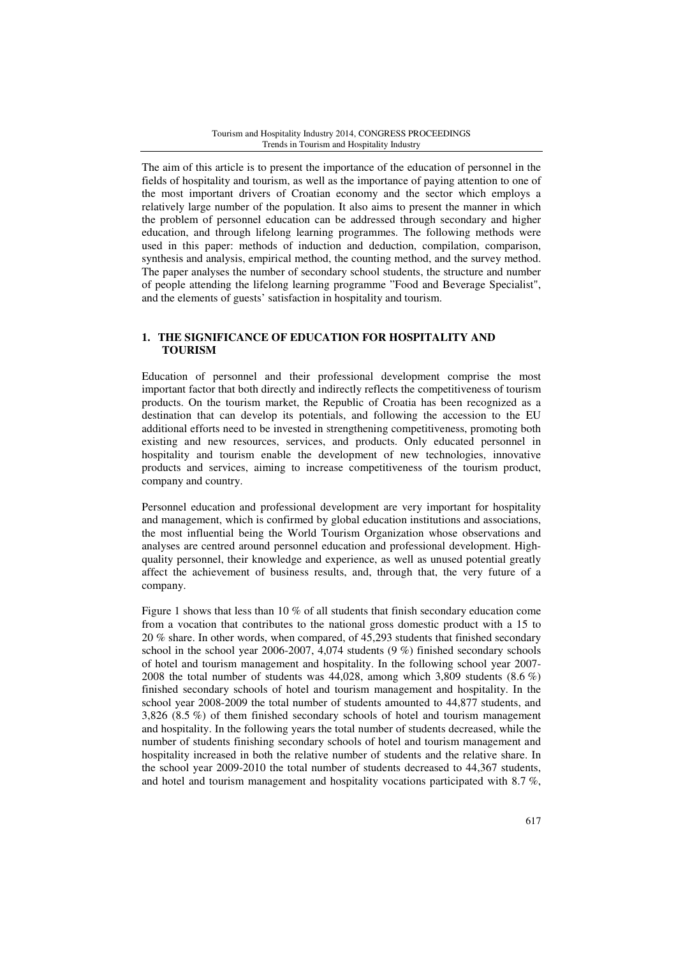The aim of this article is to present the importance of the education of personnel in the fields of hospitality and tourism, as well as the importance of paying attention to one of the most important drivers of Croatian economy and the sector which employs a relatively large number of the population. It also aims to present the manner in which the problem of personnel education can be addressed through secondary and higher education, and through lifelong learning programmes. The following methods were used in this paper: methods of induction and deduction, compilation, comparison, synthesis and analysis, empirical method, the counting method, and the survey method. The paper analyses the number of secondary school students, the structure and number of people attending the lifelong learning programme "Food and Beverage Specialist", and the elements of guests' satisfaction in hospitality and tourism.

# **1. THE SIGNIFICANCE OF EDUCATION FOR HOSPITALITY AND TOURISM**

Education of personnel and their professional development comprise the most important factor that both directly and indirectly reflects the competitiveness of tourism products. On the tourism market, the Republic of Croatia has been recognized as a destination that can develop its potentials, and following the accession to the EU additional efforts need to be invested in strengthening competitiveness, promoting both existing and new resources, services, and products. Only educated personnel in hospitality and tourism enable the development of new technologies, innovative products and services, aiming to increase competitiveness of the tourism product, company and country.

Personnel education and professional development are very important for hospitality and management, which is confirmed by global education institutions and associations, the most influential being the World Tourism Organization whose observations and analyses are centred around personnel education and professional development. Highquality personnel, their knowledge and experience, as well as unused potential greatly affect the achievement of business results, and, through that, the very future of a company.

Figure 1 shows that less than 10 % of all students that finish secondary education come from a vocation that contributes to the national gross domestic product with a 15 to 20 % share. In other words, when compared, of 45,293 students that finished secondary school in the school year 2006-2007, 4,074 students (9 %) finished secondary schools of hotel and tourism management and hospitality. In the following school year 2007- 2008 the total number of students was 44,028, among which 3,809 students (8.6 %) finished secondary schools of hotel and tourism management and hospitality. In the school year 2008-2009 the total number of students amounted to 44,877 students, and 3,826 (8.5 %) of them finished secondary schools of hotel and tourism management and hospitality. In the following years the total number of students decreased, while the number of students finishing secondary schools of hotel and tourism management and hospitality increased in both the relative number of students and the relative share. In the school year 2009-2010 the total number of students decreased to 44,367 students, and hotel and tourism management and hospitality vocations participated with 8.7 %,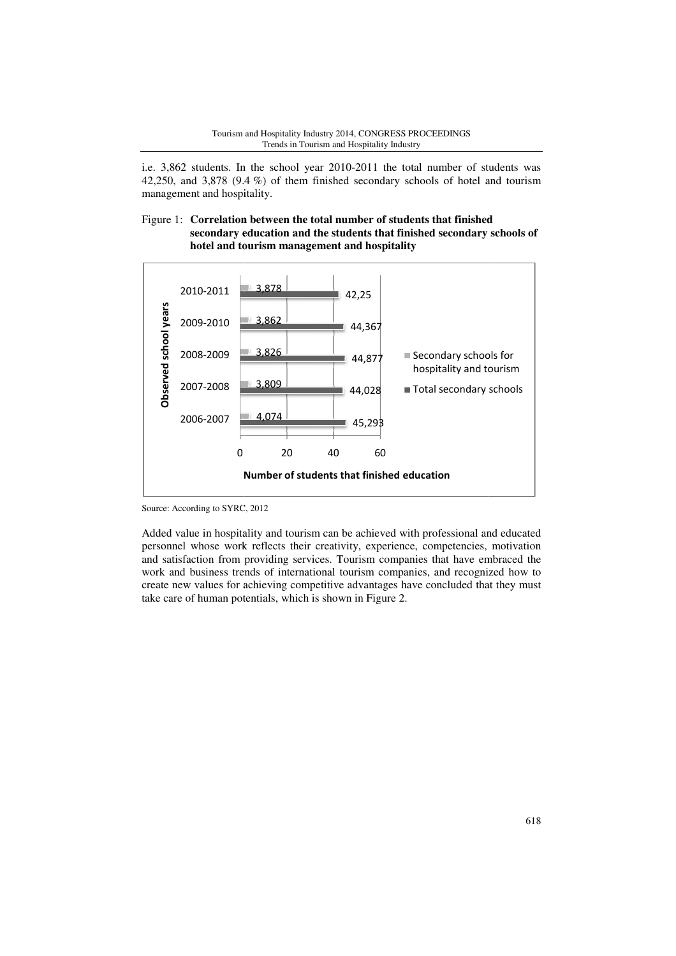#### Tourism and Hospitality Industry 2014, CONGRESS PROCEEDINGS Trends in Tourism and Hospitality Industry

i.e. 3,862 students. In the school year 2010 2010-2011 the total number of students was 42,250, and 3,878 (9.4 %) of them finished secondary schools of hotel and tourism management and hospitality.

### Figure 1: **Correlation between the total number of students that finished secondary education and the students that finished secondary schools of hotel and tourism management and hospitality**



Source: According to SYRC, 2012

Added value in hospitality and tourism can be achieved with professional and educated personnel whose work reflects their creativity, experience, competencies, motivation and satisfaction from providing services. Tourism companies that have embraced the work and business trends of international tourism companies, and recognized how to create new values for achieving competitive advantages have concluded that they must take care of human potentials, which is shown in Figur create new values for achieving competitive advantages have concluded that they must take care of human potentials, which is shown in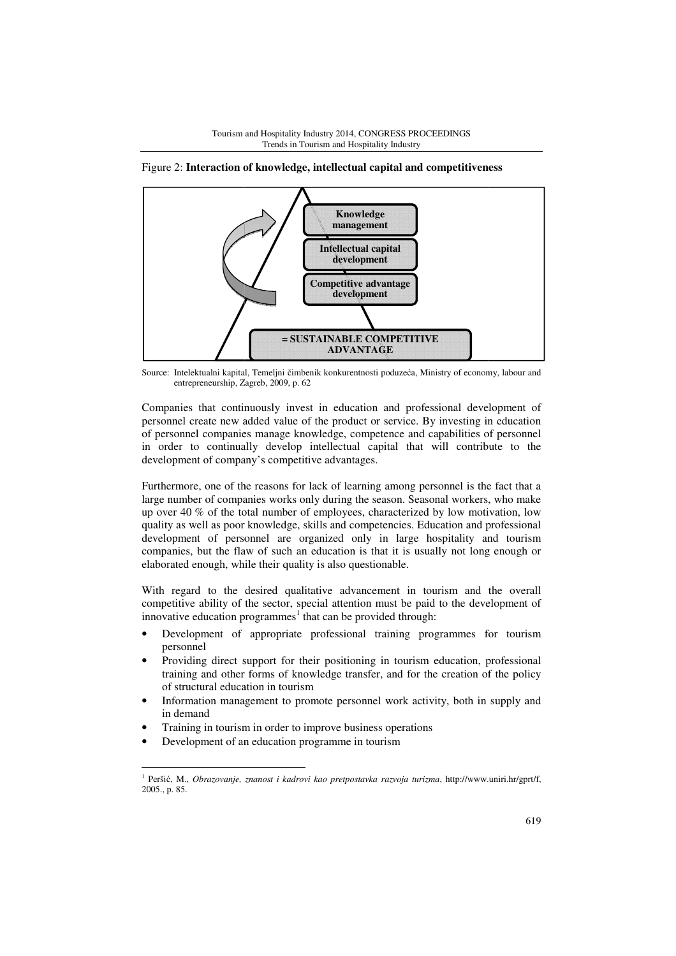

Figure 2: **Interaction of knowledge, intellectual capital and competitiveness**

Source: Intelektualni kapital, Temeljni čimbenik konkurentnosti poduzeća, Ministry of economy, labour and entrepreneurship, Zagreb, 2009, p. 62

Companies that continuously invest in education and professional development of personnel create new added value of the product or service. By investing in education of personnel companies manage knowledge, competence and capabilities of personnel in order to continually develop intellectual capital that will contribute to the in order to continually develop intellectual cap<br>development of company's competitive advantages.

Furthermore, one of the reasons for lack of learning among personnel is the fact that a large number of companies works only during the season. Seasonal workers, who make up over 40 % of the total number of employees, characterized by low motivation, low quality as well as poor knowledge, skills and competencies. Education and professional development of personnel are organized only in large hospitality and tourism development of personnel are organized only in large hospitality and tourism companies, but the flaw of such an education is that it is usually not long enough or elaborated enough, while their quality is also questionable.

With regard to the desired qualitative advancement in tourism and the overall competitive ability of the sector, special attention must be paid to the development of innovative education programmes<sup>1</sup> that can be provided through:

- Development of appropriate professional training programmes for tourism personnel
- Providing direct support for their positioning in tourism education, professional training and other forms of knowledge transfer, and for the creation of the policy of structural education in tourism
- Information management to promote personnel work activity, both in supply and in demand
- Training in tourism in order to improve business operations
- Development of an education programme in tourism

<sup>&</sup>lt;sup>1</sup> Peršić, M., *Obrazovanje, znanost i kadrovi kao pretpostavka razvoja turizma*, http://www.uniri.hr/gprt/f, 2005., p. 85.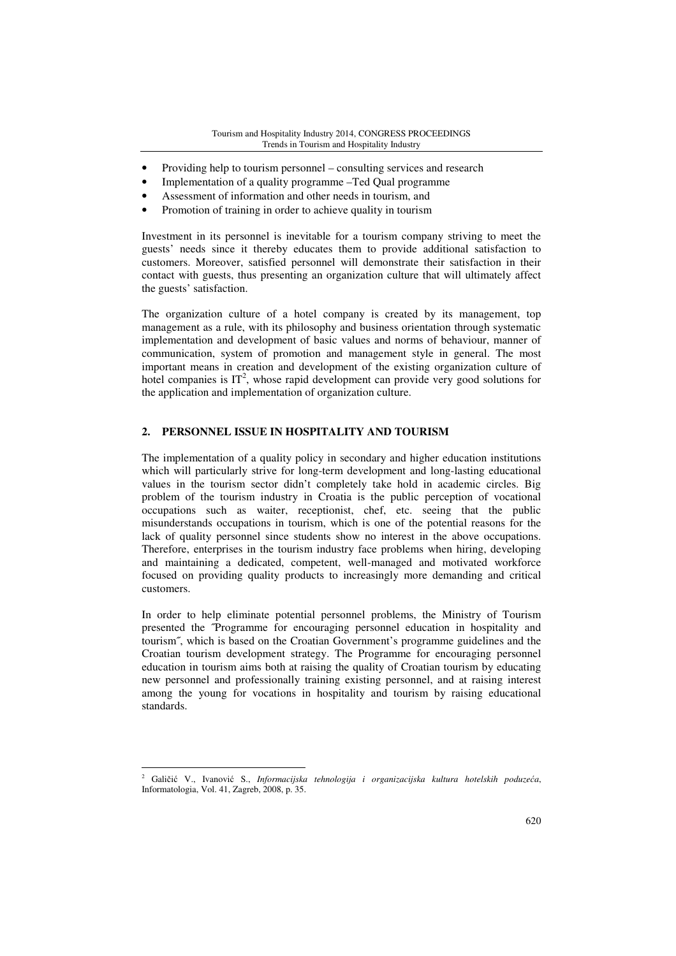- Providing help to tourism personnel consulting services and research
- Implementation of a quality programme –Ted Qual programme
- Assessment of information and other needs in tourism, and
- Promotion of training in order to achieve quality in tourism

Investment in its personnel is inevitable for a tourism company striving to meet the guests' needs since it thereby educates them to provide additional satisfaction to customers. Moreover, satisfied personnel will demonstrate their satisfaction in their contact with guests, thus presenting an organization culture that will ultimately affect the guests' satisfaction.

The organization culture of a hotel company is created by its management, top management as a rule, with its philosophy and business orientation through systematic implementation and development of basic values and norms of behaviour, manner of communication, system of promotion and management style in general. The most important means in creation and development of the existing organization culture of hotel companies is  $IT^2$ , whose rapid development can provide very good solutions for the application and implementation of organization culture.

# **2. PERSONNEL ISSUE IN HOSPITALITY AND TOURISM**

The implementation of a quality policy in secondary and higher education institutions which will particularly strive for long-term development and long-lasting educational values in the tourism sector didn't completely take hold in academic circles. Big problem of the tourism industry in Croatia is the public perception of vocational occupations such as waiter, receptionist, chef, etc. seeing that the public misunderstands occupations in tourism, which is one of the potential reasons for the lack of quality personnel since students show no interest in the above occupations. Therefore, enterprises in the tourism industry face problems when hiring, developing and maintaining a dedicated, competent, well-managed and motivated workforce focused on providing quality products to increasingly more demanding and critical customers.

In order to help eliminate potential personnel problems, the Ministry of Tourism presented the ˝Programme for encouraging personnel education in hospitality and tourism˝, which is based on the Croatian Government's programme guidelines and the Croatian tourism development strategy. The Programme for encouraging personnel education in tourism aims both at raising the quality of Croatian tourism by educating new personnel and professionally training existing personnel, and at raising interest among the young for vocations in hospitality and tourism by raising educational standards.

<sup>2</sup> Galičić V., Ivanović S., *Informacijska tehnologija i organizacijska kultura hotelskih poduze*ć*a*, Informatologia, Vol. 41, Zagreb, 2008, p. 35.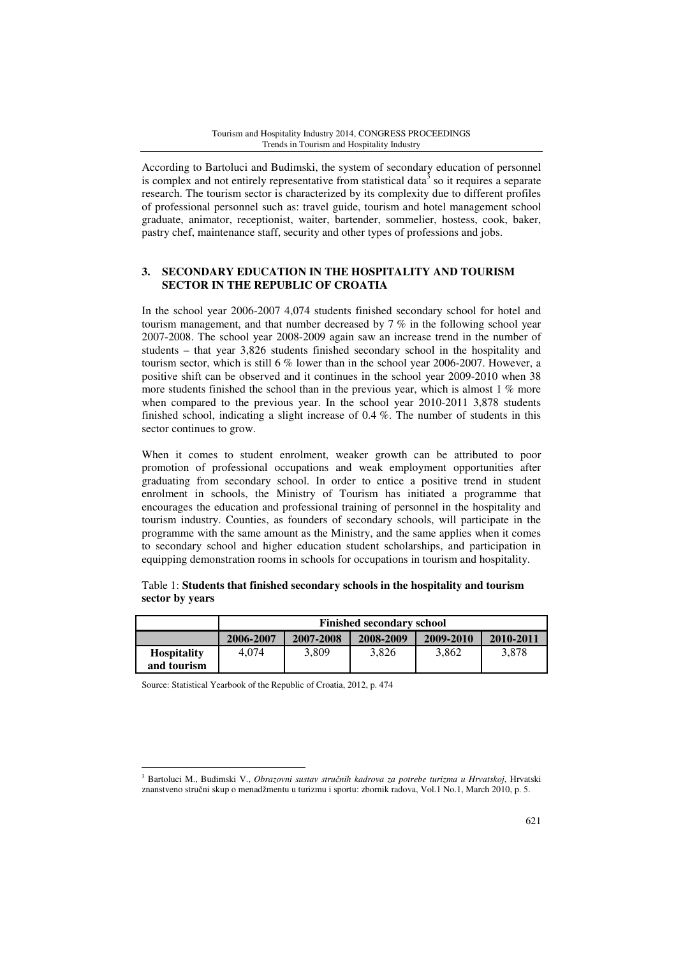According to Bartoluci and Budimski, the system of secondary education of personnel is complex and not entirely representative from statistical data<sup>3</sup> so it requires a separate research. The tourism sector is characterized by its complexity due to different profiles of professional personnel such as: travel guide, tourism and hotel management school graduate, animator, receptionist, waiter, bartender, sommelier, hostess, cook, baker, pastry chef, maintenance staff, security and other types of professions and jobs.

# **3. SECONDARY EDUCATION IN THE HOSPITALITY AND TOURISM SECTOR IN THE REPUBLIC OF CROATIA**

In the school year 2006-2007 4,074 students finished secondary school for hotel and tourism management, and that number decreased by 7 % in the following school year 2007-2008. The school year 2008-2009 again saw an increase trend in the number of students – that year 3,826 students finished secondary school in the hospitality and tourism sector, which is still  $6\%$  lower than in the school year 2006-2007. However, a positive shift can be observed and it continues in the school year 2009-2010 when 38 more students finished the school than in the previous year, which is almost 1 % more when compared to the previous year. In the school year 2010-2011 3,878 students finished school, indicating a slight increase of 0.4 %. The number of students in this sector continues to grow.

When it comes to student enrolment, weaker growth can be attributed to poor promotion of professional occupations and weak employment opportunities after graduating from secondary school. In order to entice a positive trend in student enrolment in schools, the Ministry of Tourism has initiated a programme that encourages the education and professional training of personnel in the hospitality and tourism industry. Counties, as founders of secondary schools, will participate in the programme with the same amount as the Ministry, and the same applies when it comes to secondary school and higher education student scholarships, and participation in equipping demonstration rooms in schools for occupations in tourism and hospitality.

|                                   | <b>Finished secondary school</b> |           |           |           |           |  |  |  |
|-----------------------------------|----------------------------------|-----------|-----------|-----------|-----------|--|--|--|
|                                   | 2006-2007                        | 2007-2008 | 2008-2009 | 2009-2010 | 2010-2011 |  |  |  |
| <b>Hospitality</b><br>and tourism | 4.074                            | 3.809     | 3,826     | 3.862     | 3.878     |  |  |  |

Table 1: **Students that finished secondary schools in the hospitality and tourism sector by years** 

Source: Statistical Yearbook of the Republic of Croatia, 2012, p. 474

<sup>3</sup> Bartoluci M., Budimski V., *Obrazovni sustav stru*č*nih kadrova za potrebe turizma u Hrvatskoj*, Hrvatski znanstveno stručni skup o menadžmentu u turizmu i sportu: zbornik radova, Vol.1 No.1, March 2010, p. 5.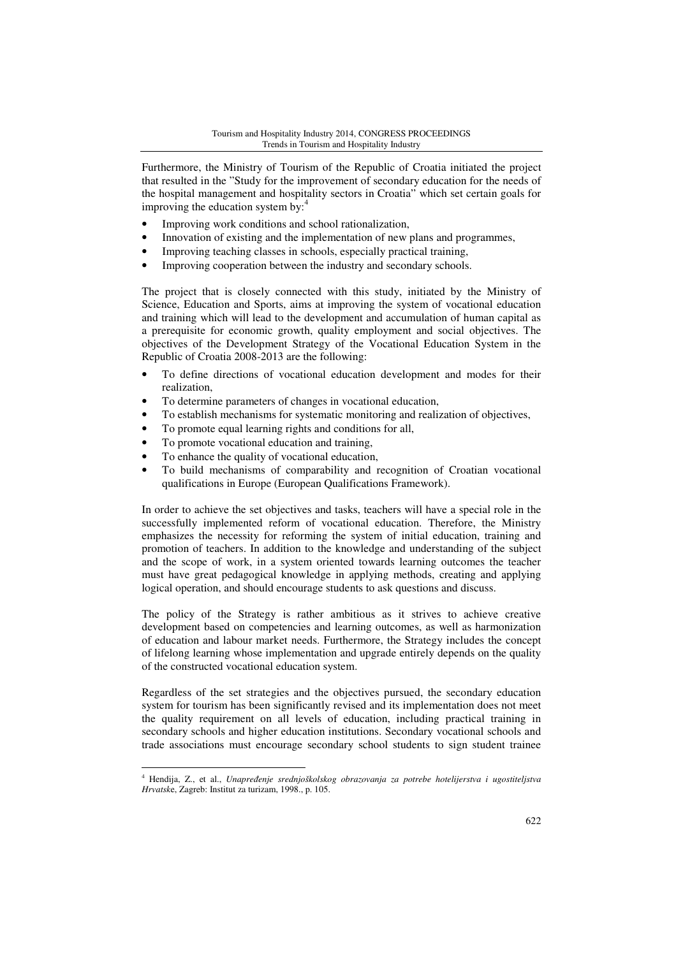Furthermore, the Ministry of Tourism of the Republic of Croatia initiated the project that resulted in the "Study for the improvement of secondary education for the needs of the hospital management and hospitality sectors in Croatia" which set certain goals for improving the education system by:<sup>4</sup>

- Improving work conditions and school rationalization,
- Innovation of existing and the implementation of new plans and programmes,
- Improving teaching classes in schools, especially practical training,
- Improving cooperation between the industry and secondary schools.

The project that is closely connected with this study, initiated by the Ministry of Science, Education and Sports, aims at improving the system of vocational education and training which will lead to the development and accumulation of human capital as a prerequisite for economic growth, quality employment and social objectives. The objectives of the Development Strategy of the Vocational Education System in the Republic of Croatia 2008-2013 are the following:

- To define directions of vocational education development and modes for their realization,
- To determine parameters of changes in vocational education,
- To establish mechanisms for systematic monitoring and realization of objectives,
- To promote equal learning rights and conditions for all,
- To promote vocational education and training,
- To enhance the quality of vocational education,

l

• To build mechanisms of comparability and recognition of Croatian vocational qualifications in Europe (European Qualifications Framework).

In order to achieve the set objectives and tasks, teachers will have a special role in the successfully implemented reform of vocational education. Therefore, the Ministry emphasizes the necessity for reforming the system of initial education, training and promotion of teachers. In addition to the knowledge and understanding of the subject and the scope of work, in a system oriented towards learning outcomes the teacher must have great pedagogical knowledge in applying methods, creating and applying logical operation, and should encourage students to ask questions and discuss.

The policy of the Strategy is rather ambitious as it strives to achieve creative development based on competencies and learning outcomes, as well as harmonization of education and labour market needs. Furthermore, the Strategy includes the concept of lifelong learning whose implementation and upgrade entirely depends on the quality of the constructed vocational education system.

Regardless of the set strategies and the objectives pursued, the secondary education system for tourism has been significantly revised and its implementation does not meet the quality requirement on all levels of education, including practical training in secondary schools and higher education institutions. Secondary vocational schools and trade associations must encourage secondary school students to sign student trainee

<sup>4</sup> Hendija, Z., et al., *Unapre*đ*enje srednjoškolskog obrazovanja za potrebe hotelijerstva i ugostiteljstva Hrvatsk*e, Zagreb: Institut za turizam, 1998., p. 105.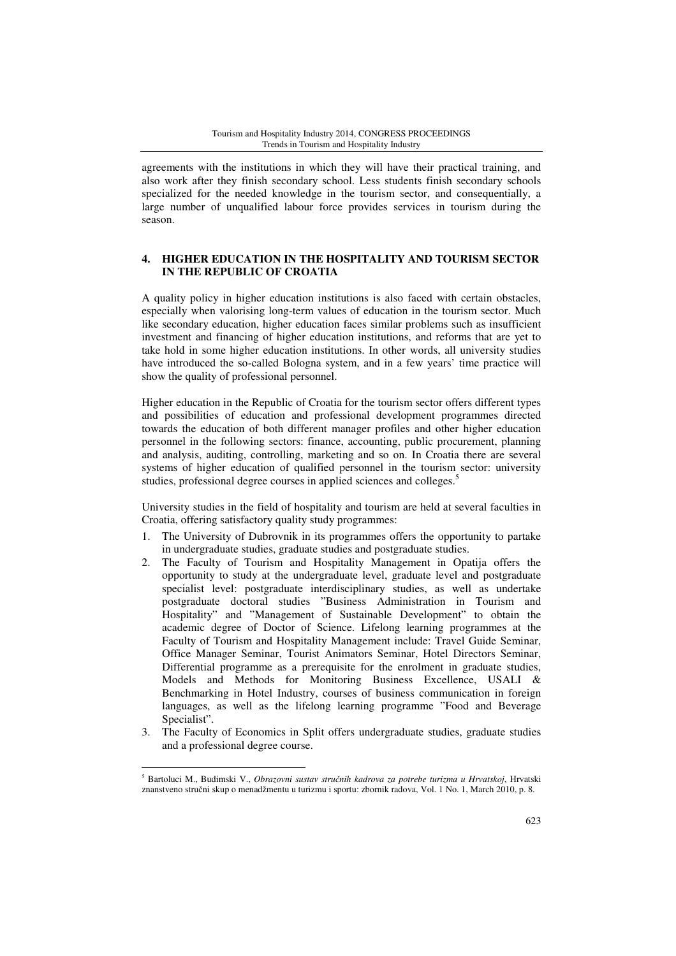agreements with the institutions in which they will have their practical training, and also work after they finish secondary school. Less students finish secondary schools specialized for the needed knowledge in the tourism sector, and consequentially, a large number of unqualified labour force provides services in tourism during the season.

### **4. HIGHER EDUCATION IN THE HOSPITALITY AND TOURISM SECTOR IN THE REPUBLIC OF CROATIA**

A quality policy in higher education institutions is also faced with certain obstacles, especially when valorising long-term values of education in the tourism sector. Much like secondary education, higher education faces similar problems such as insufficient investment and financing of higher education institutions, and reforms that are yet to take hold in some higher education institutions. In other words, all university studies have introduced the so-called Bologna system, and in a few years' time practice will show the quality of professional personnel.

Higher education in the Republic of Croatia for the tourism sector offers different types and possibilities of education and professional development programmes directed towards the education of both different manager profiles and other higher education personnel in the following sectors: finance, accounting, public procurement, planning and analysis, auditing, controlling, marketing and so on. In Croatia there are several systems of higher education of qualified personnel in the tourism sector: university studies, professional degree courses in applied sciences and colleges.<sup>5</sup>

University studies in the field of hospitality and tourism are held at several faculties in Croatia, offering satisfactory quality study programmes:

- 1. The University of Dubrovnik in its programmes offers the opportunity to partake in undergraduate studies, graduate studies and postgraduate studies.
- 2. The Faculty of Tourism and Hospitality Management in Opatija offers the opportunity to study at the undergraduate level, graduate level and postgraduate specialist level: postgraduate interdisciplinary studies, as well as undertake postgraduate doctoral studies "Business Administration in Tourism and Hospitality" and "Management of Sustainable Development" to obtain the academic degree of Doctor of Science. Lifelong learning programmes at the Faculty of Tourism and Hospitality Management include: Travel Guide Seminar, Office Manager Seminar, Tourist Animators Seminar, Hotel Directors Seminar, Differential programme as a prerequisite for the enrolment in graduate studies, Models and Methods for Monitoring Business Excellence, USALI & Benchmarking in Hotel Industry, courses of business communication in foreign languages, as well as the lifelong learning programme "Food and Beverage Specialist".
- 3. The Faculty of Economics in Split offers undergraduate studies, graduate studies and a professional degree course.

<sup>5</sup> Bartoluci M., Budimski V., *Obrazovni sustav stru*č*nih kadrova za potrebe turizma u Hrvatskoj*, Hrvatski znanstveno stručni skup o menadžmentu u turizmu i sportu: zbornik radova, Vol. 1 No. 1, March 2010, p. 8.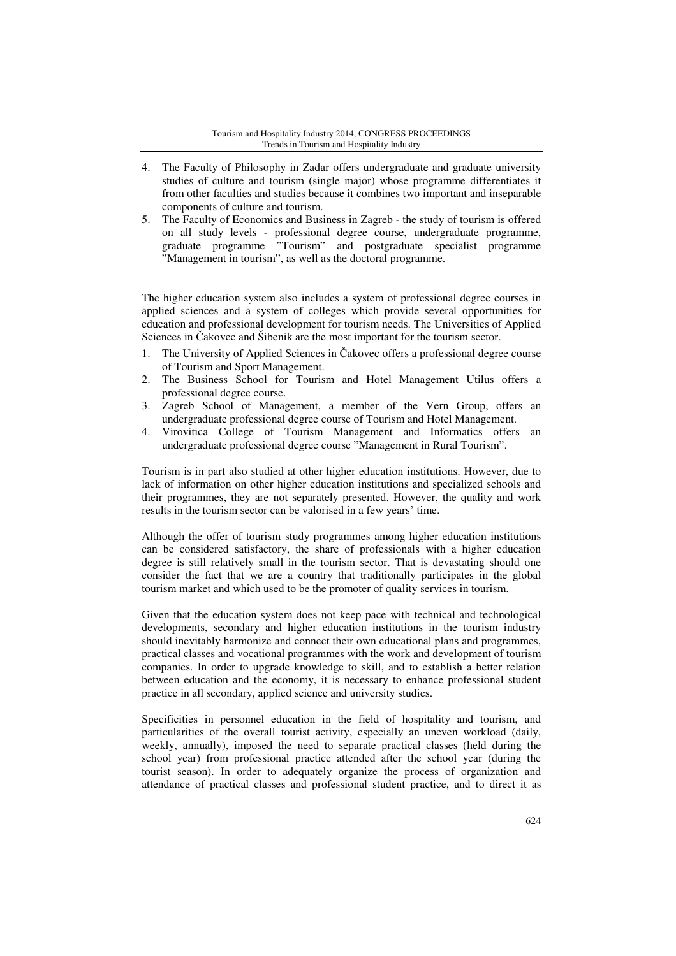#### Tourism and Hospitality Industry 2014, CONGRESS PROCEEDINGS Trends in Tourism and Hospitality Industry

- 4. The Faculty of Philosophy in Zadar offers undergraduate and graduate university studies of culture and tourism (single major) whose programme differentiates it from other faculties and studies because it combines two important and inseparable components of culture and tourism.
- 5. The Faculty of Economics and Business in Zagreb the study of tourism is offered on all study levels - professional degree course, undergraduate programme, graduate programme "Tourism" and postgraduate specialist programme "Management in tourism", as well as the doctoral programme.

The higher education system also includes a system of professional degree courses in applied sciences and a system of colleges which provide several opportunities for education and professional development for tourism needs. The Universities of Applied Sciences in Čakovec and Šibenik are the most important for the tourism sector.

- 1. The University of Applied Sciences in Čakovec offers a professional degree course of Tourism and Sport Management.
- 2. The Business School for Tourism and Hotel Management Utilus offers a professional degree course.
- 3. Zagreb School of Management, a member of the Vern Group, offers an undergraduate professional degree course of Tourism and Hotel Management.
- 4. Virovitica College of Tourism Management and Informatics offers an undergraduate professional degree course "Management in Rural Tourism".

Tourism is in part also studied at other higher education institutions. However, due to lack of information on other higher education institutions and specialized schools and their programmes, they are not separately presented. However, the quality and work results in the tourism sector can be valorised in a few years' time.

Although the offer of tourism study programmes among higher education institutions can be considered satisfactory, the share of professionals with a higher education degree is still relatively small in the tourism sector. That is devastating should one consider the fact that we are a country that traditionally participates in the global tourism market and which used to be the promoter of quality services in tourism.

Given that the education system does not keep pace with technical and technological developments, secondary and higher education institutions in the tourism industry should inevitably harmonize and connect their own educational plans and programmes, practical classes and vocational programmes with the work and development of tourism companies. In order to upgrade knowledge to skill, and to establish a better relation between education and the economy, it is necessary to enhance professional student practice in all secondary, applied science and university studies.

Specificities in personnel education in the field of hospitality and tourism, and particularities of the overall tourist activity, especially an uneven workload (daily, weekly, annually), imposed the need to separate practical classes (held during the school year) from professional practice attended after the school year (during the tourist season). In order to adequately organize the process of organization and attendance of practical classes and professional student practice, and to direct it as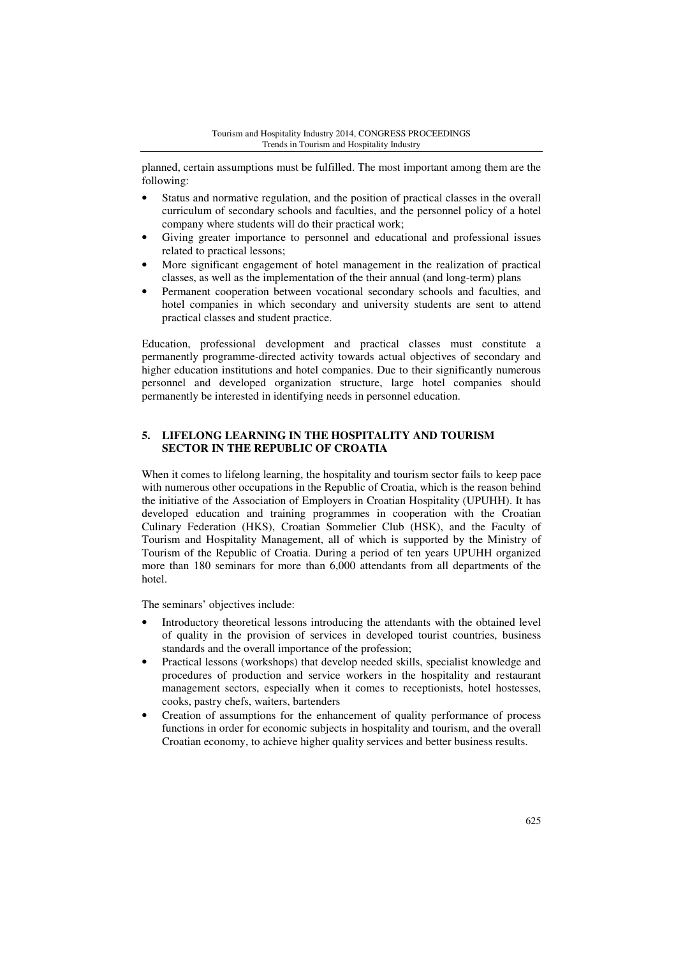planned, certain assumptions must be fulfilled. The most important among them are the following:

- Status and normative regulation, and the position of practical classes in the overall curriculum of secondary schools and faculties, and the personnel policy of a hotel company where students will do their practical work;
- Giving greater importance to personnel and educational and professional issues related to practical lessons;
- More significant engagement of hotel management in the realization of practical classes, as well as the implementation of the their annual (and long-term) plans
- Permanent cooperation between vocational secondary schools and faculties, and hotel companies in which secondary and university students are sent to attend practical classes and student practice.

Education, professional development and practical classes must constitute a permanently programme-directed activity towards actual objectives of secondary and higher education institutions and hotel companies. Due to their significantly numerous personnel and developed organization structure, large hotel companies should permanently be interested in identifying needs in personnel education.

# **5. LIFELONG LEARNING IN THE HOSPITALITY AND TOURISM SECTOR IN THE REPUBLIC OF CROATIA**

When it comes to lifelong learning, the hospitality and tourism sector fails to keep pace with numerous other occupations in the Republic of Croatia, which is the reason behind the initiative of the Association of Employers in Croatian Hospitality (UPUHH). It has developed education and training programmes in cooperation with the Croatian Culinary Federation (HKS), Croatian Sommelier Club (HSK), and the Faculty of Tourism and Hospitality Management, all of which is supported by the Ministry of Tourism of the Republic of Croatia. During a period of ten years UPUHH organized more than 180 seminars for more than 6,000 attendants from all departments of the hotel.

The seminars' objectives include:

- Introductory theoretical lessons introducing the attendants with the obtained level of quality in the provision of services in developed tourist countries, business standards and the overall importance of the profession;
- Practical lessons (workshops) that develop needed skills, specialist knowledge and procedures of production and service workers in the hospitality and restaurant management sectors, especially when it comes to receptionists, hotel hostesses, cooks, pastry chefs, waiters, bartenders
- Creation of assumptions for the enhancement of quality performance of process functions in order for economic subjects in hospitality and tourism, and the overall Croatian economy, to achieve higher quality services and better business results.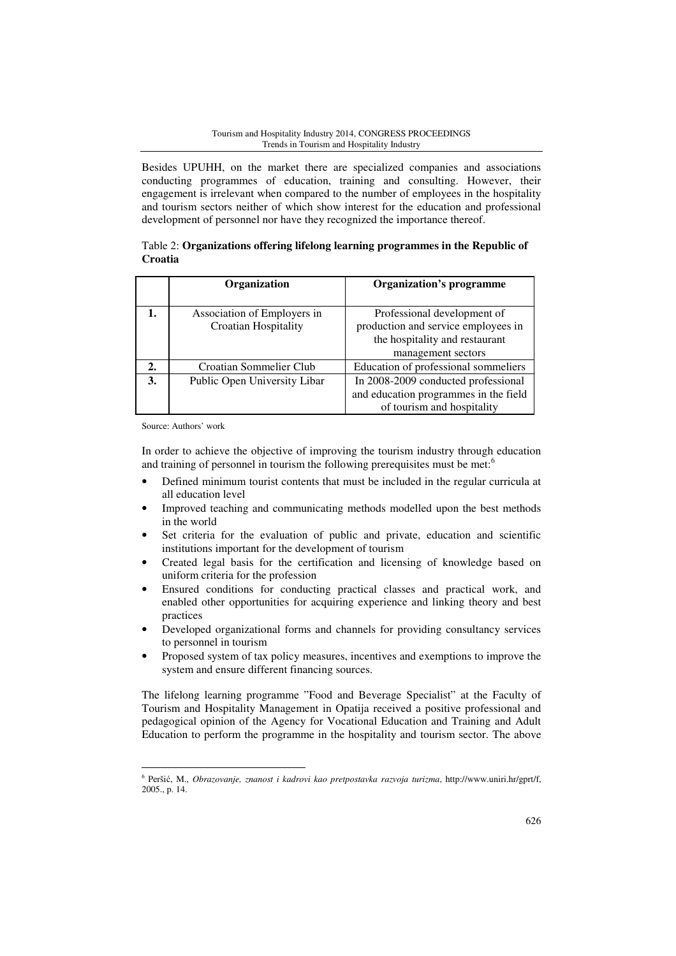Besides UPUHH, on the market there are specialized companies and associations conducting programmes of education, training and consulting. However, their engagement is irrelevant when compared to the number of employees in the hospitality and tourism sectors neither of which show interest for the education and professional development of personnel nor have they recognized the importance thereof.

# Table 2: **Organizations offering lifelong learning programmes in the Republic of Croatia**

|                  | Organization                 | <b>Organization's programme</b>       |  |  |
|------------------|------------------------------|---------------------------------------|--|--|
|                  |                              |                                       |  |  |
|                  | Association of Employers in  | Professional development of           |  |  |
|                  | <b>Croatian Hospitality</b>  | production and service employees in   |  |  |
|                  |                              | the hospitality and restaurant        |  |  |
|                  |                              | management sectors                    |  |  |
| $\overline{2}$ . | Croatian Sommelier Club      | Education of professional sommeliers  |  |  |
| 3.               | Public Open University Libar | In 2008-2009 conducted professional   |  |  |
|                  |                              | and education programmes in the field |  |  |
|                  |                              | of tourism and hospitality            |  |  |

Source: Authors' work

l

In order to achieve the objective of improving the tourism industry through education and training of personnel in tourism the following prerequisites must be met:<sup>6</sup>

- Defined minimum tourist contents that must be included in the regular curricula at all education level
- Improved teaching and communicating methods modelled upon the best methods in the world
- Set criteria for the evaluation of public and private, education and scientific institutions important for the development of tourism
- Created legal basis for the certification and licensing of knowledge based on uniform criteria for the profession
- Ensured conditions for conducting practical classes and practical work, and enabled other opportunities for acquiring experience and linking theory and best practices
- Developed organizational forms and channels for providing consultancy services to personnel in tourism
- Proposed system of tax policy measures, incentives and exemptions to improve the system and ensure different financing sources.

The lifelong learning programme "Food and Beverage Specialist" at the Faculty of Tourism and Hospitality Management in Opatija received a positive professional and pedagogical opinion of the Agency for Vocational Education and Training and Adult Education to perform the programme in the hospitality and tourism sector. The above

<sup>6</sup> Peršić, M., *Obrazovanje, znanost i kadrovi kao pretpostavka razvoja turizma*, http://www.uniri.hr/gprt/f, 2005., p. 14.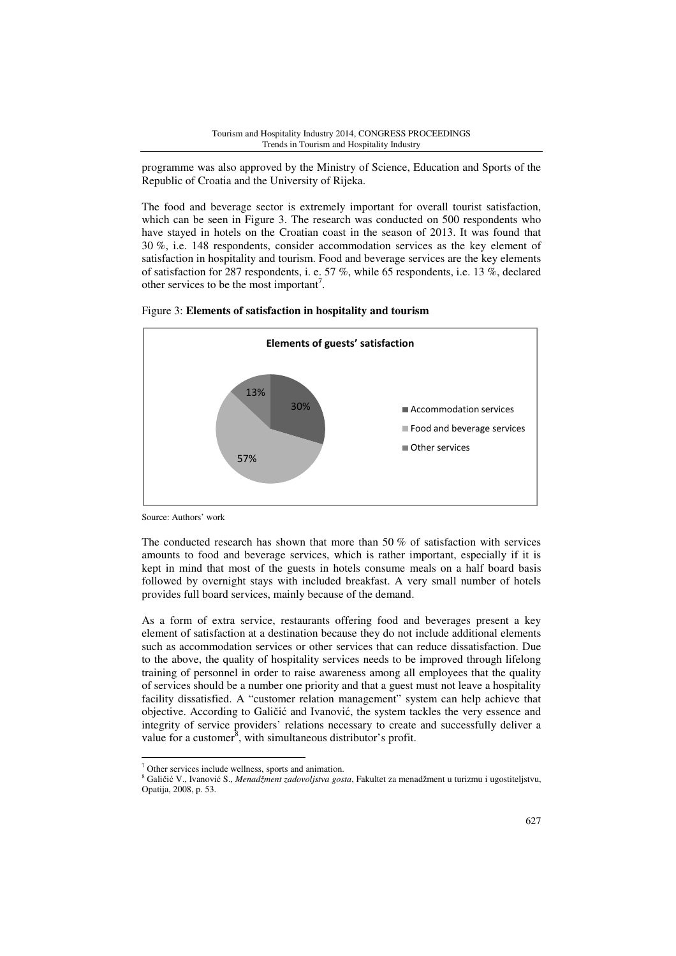programme was also approved by the Ministry of Science, Education and Sports of the Republic of Croatia and the University of Rijeka.

The food and beverage sector is extremely important for overall tourist satisfaction, which can be seen in Figure 3. The research was conducted on 500 respondents who have stayed in hotels on the Croatian coast in the season of 2013. It was found that 30 %, i.e. 148 respondents, consider accommodation services as the key element of satisfaction in hospitality and tourism. Food and beverage services are the key elements of satisfaction for 287 respondents, i. e. 57 %, while 65 respondents, i.e. 13 %, declared other services to be the most important<sup>7</sup>.



Figure 3: **Elements of satisfaction in hospitality and tourism** 

Source: Authors' work

l

The conducted research has shown that more than  $50\%$  of satisfaction with services amounts to food and beverage services, which is rather important, especially if it is kept in mind that most of the guests in hotels consume meals on a half board basis followed by overnight stays with included breakfast. A very small number of hotels provides full board services, mainly because of the demand.

As a form of extra service, restaurants offering food and beverages present a key element of satisfaction at a destination because they do not include additional elements such as accommodation services or other services that can reduce dissatisfaction. Due to the above, the quality of hospitality services needs to be improved through lifelong training of personnel in order to raise awareness among all employees that the quality of services should be a number one priority and that a guest must not leave a hospitality facility dissatisfied. A "customer relation management" system can help achieve that objective. According to Galičić and Ivanović, the system tackles the very essence and integrity of service providers' relations necessary to create and successfully deliver a value for a customer<sup>8</sup>, with simultaneous distributor's profit.

<sup>7</sup> Other services include wellness, sports and animation.

<sup>8</sup> Galičić V., Ivanović S., *Menadžment zadovoljstva gosta*, Fakultet za menadžment u turizmu i ugostiteljstvu, Opatija, 2008, p. 53.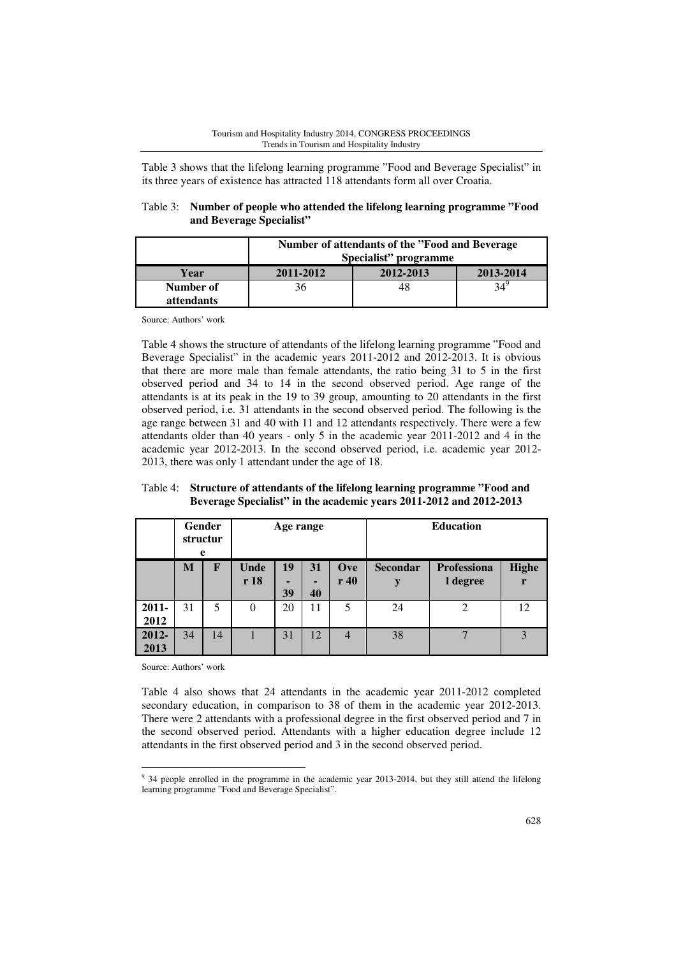Table 3 shows that the lifelong learning programme "Food and Beverage Specialist" in its three years of existence has attracted 118 attendants form all over Croatia.

| Table 3: Number of people who attended the lifelong learning programme "Food" |
|-------------------------------------------------------------------------------|
| and Beverage Specialist"                                                      |

|                                | Number of attendants of the "Food and Beverage"<br>Specialist" programme |           |           |  |  |  |
|--------------------------------|--------------------------------------------------------------------------|-----------|-----------|--|--|--|
| Year                           | 2011-2012                                                                | 2012-2013 | 2013-2014 |  |  |  |
| Number of<br><i>attendants</i> | 36                                                                       | 48        |           |  |  |  |

Source: Authors' work

Table 4 shows the structure of attendants of the lifelong learning programme "Food and Beverage Specialist" in the academic years 2011-2012 and 2012-2013. It is obvious that there are more male than female attendants, the ratio being 31 to 5 in the first observed period and 34 to 14 in the second observed period. Age range of the attendants is at its peak in the 19 to 39 group, amounting to 20 attendants in the first observed period, i.e. 31 attendants in the second observed period. The following is the age range between 31 and 40 with 11 and 12 attendants respectively. There were a few attendants older than 40 years - only 5 in the academic year 2011-2012 and 4 in the academic year 2012-2013. In the second observed period, i.e. academic year 2012- 2013, there was only 1 attendant under the age of 18.

Table 4: **Structure of attendants of the lifelong learning programme "Food and Beverage Specialist" in the academic years 2011-2012 and 2012-2013** 

|                  | Gender<br>structur<br>e |             | Age range    |               |          |                | <b>Education</b>     |                                |                   |
|------------------|-------------------------|-------------|--------------|---------------|----------|----------------|----------------------|--------------------------------|-------------------|
|                  | M                       | $\mathbf F$ | Unde<br>r 18 | 19<br>-<br>39 | 31<br>40 | Ove<br>r40     | <b>Secondar</b><br>y | <b>Professiona</b><br>I degree | <b>Highe</b><br>r |
| $2011 -$<br>2012 | 31                      | 5           | $\Omega$     | 20            | 11       | 5              | 24                   | $\overline{2}$                 | 12                |
| 2012-<br>2013    | 34                      | 14          |              | 31            | 12       | $\overline{4}$ | 38                   | $\mathbf{r}$                   | 3                 |

Source: Authors' work

l

Table 4 also shows that 24 attendants in the academic year 2011-2012 completed secondary education, in comparison to 38 of them in the academic year 2012-2013. There were 2 attendants with a professional degree in the first observed period and 7 in the second observed period. Attendants with a higher education degree include 12 attendants in the first observed period and 3 in the second observed period.

<sup>&</sup>lt;sup>9</sup> 34 people enrolled in the programme in the academic year 2013-2014, but they still attend the lifelong learning programme "Food and Beverage Specialist".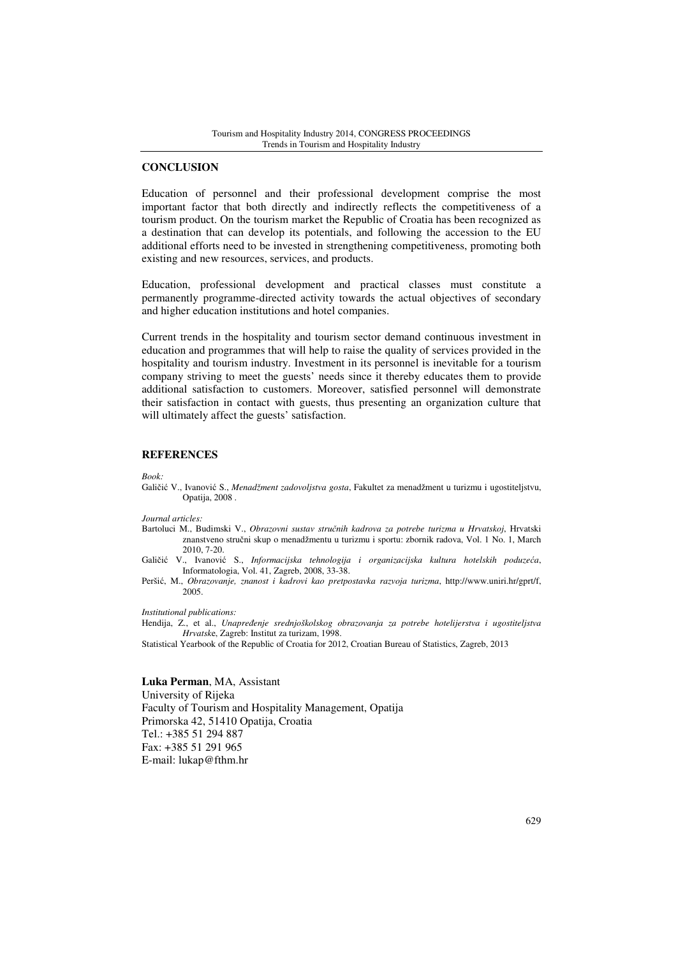#### **CONCLUSION**

Education of personnel and their professional development comprise the most important factor that both directly and indirectly reflects the competitiveness of a tourism product. On the tourism market the Republic of Croatia has been recognized as a destination that can develop its potentials, and following the accession to the EU additional efforts need to be invested in strengthening competitiveness, promoting both existing and new resources, services, and products.

Education, professional development and practical classes must constitute a permanently programme-directed activity towards the actual objectives of secondary and higher education institutions and hotel companies.

Current trends in the hospitality and tourism sector demand continuous investment in education and programmes that will help to raise the quality of services provided in the hospitality and tourism industry. Investment in its personnel is inevitable for a tourism company striving to meet the guests' needs since it thereby educates them to provide additional satisfaction to customers. Moreover, satisfied personnel will demonstrate their satisfaction in contact with guests, thus presenting an organization culture that will ultimately affect the guests' satisfaction.

#### **REFERENCES**

*Book:* 

Galičić V., Ivanović S., *Menadžment zadovoljstva gosta*, Fakultet za menadžment u turizmu i ugostiteljstvu, Opatija, 2008 .

*Journal articles:* 

Bartoluci M., Budimski V., *Obrazovni sustav stru*č*nih kadrova za potrebe turizma u Hrvatskoj*, Hrvatski znanstveno stručni skup o menadžmentu u turizmu i sportu: zbornik radova, Vol. 1 No. 1, March 2010, 7-20.

Galičić V., Ivanović S., *Informacijska tehnologija i organizacijska kultura hotelskih poduze*ć*a*, Informatologia, Vol. 41, Zagreb, 2008, 33-38.

Peršić, M., *Obrazovanje, znanost i kadrovi kao pretpostavka razvoja turizma*, http://www.uniri.hr/gprt/f, 2005.

*Institutional publications:*

Hendija, Z., et al., *Unapre*đ*enje srednjoškolskog obrazovanja za potrebe hotelijerstva i ugostiteljstva Hrvatsk*e, Zagreb: Institut za turizam, 1998.

Statistical Yearbook of the Republic of Croatia for 2012, Croatian Bureau of Statistics, Zagreb, 2013

**Luka Perman**, MA, Assistant University of Rijeka Faculty of Tourism and Hospitality Management, Opatija Primorska 42, 51410 Opatija, Croatia Tel.: +385 51 294 887 Fax: +385 51 291 965 E-mail: lukap@fthm.hr